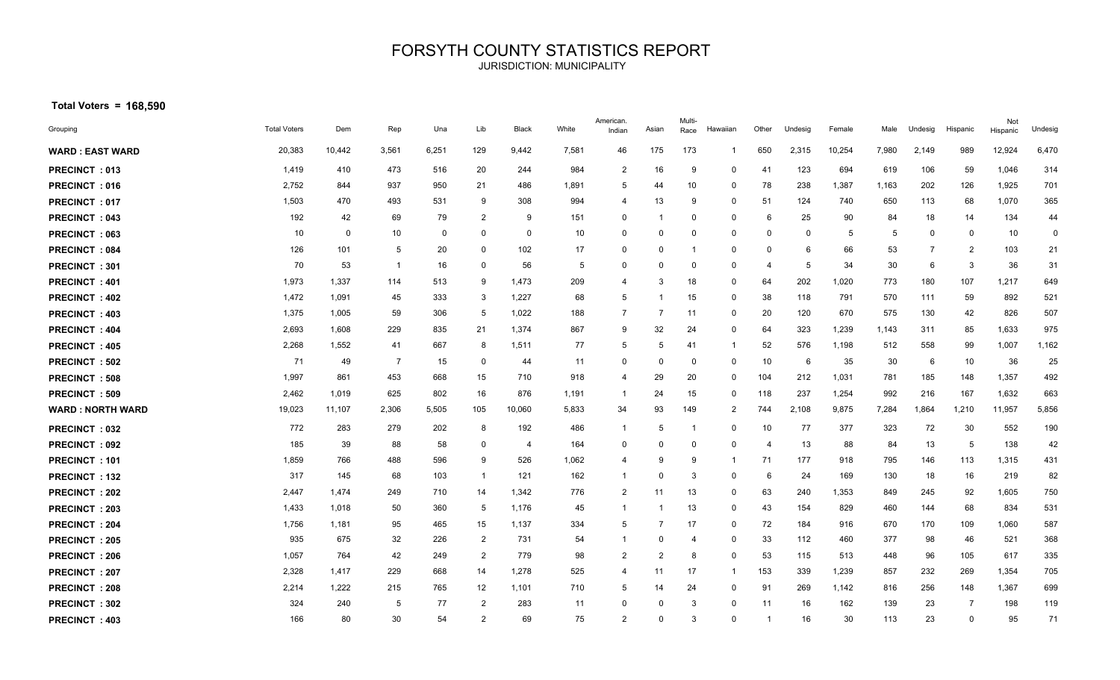## FORSYTH COUNTY STATISTICS REPORT JURISDICTION: MUNICIPALITY

## **Total Voters = 168,590**

| Grouping                | <b>Total Voters</b> | Dem         | Rep          | Una      | Lib            | <b>Black</b>   | White | American.<br>Indian     | Asian          | Multi-<br>Race | Hawaiian | Other          | Undesig  | Female | Male  | Undesig     | Hispanic        | Not<br>Hispanic | Undesig        |
|-------------------------|---------------------|-------------|--------------|----------|----------------|----------------|-------|-------------------------|----------------|----------------|----------|----------------|----------|--------|-------|-------------|-----------------|-----------------|----------------|
| <b>WARD : EAST WARD</b> | 20,383              | 10,442      | 3,561        | 6,251    | 129            | 9,442          | 7,581 | 46                      | 175            | 173            | -1       | 650            | 2,315    | 10,254 | 7,980 | 2,149       | 989             | 12,924          | 6,470          |
| <b>PRECINCT: 013</b>    | 1,419               | 410         | 473          | 516      | 20             | 244            | 984   | $\overline{2}$          | 16             | -9             | 0        | 41             | 123      | 694    | 619   | 106         | 59              | 1,046           | 314            |
| <b>PRECINCT: 016</b>    | 2,752               | 844         | 937          | 950      | 21             | 486            | 1,891 | 5                       | 44             | 10             | $\Omega$ | 78             | 238      | 1,387  | 1,163 | 202         | 126             | 1,925           | 701            |
| <b>PRECINCT: 017</b>    | 1,503               | 470         | 493          | 531      | 9              | 308            | 994   | $\overline{4}$          | 13             | 9              | $\Omega$ | 51             | 124      | 740    | 650   | 113         | 68              | 1,070           | 365            |
| <b>PRECINCT: 043</b>    | 192                 | 42          | 69           | 79       | $\overline{2}$ | 9              | 151   | $\overline{0}$          |                | $\Omega$       | 0        | 6              | 25       | 90     | 84    | 18          | 14              | 134             | 44             |
| <b>PRECINCT: 063</b>    | 10                  | $\mathbf 0$ | 10           | $\Omega$ | $\mathbf 0$    | $\mathbf 0$    | 10    | $\overline{0}$          | $\Omega$       | $\Omega$       | $\Omega$ | $\Omega$       | $\Omega$ | .5     | 5     | $\mathbf 0$ | 0               | 10              | $\overline{0}$ |
| <b>PRECINCT: 084</b>    | 126                 | 101         | 5            | 20       | 0              | 102            | 17    | 0                       | 0              |                | 0        | $\Omega$       | 6        | 66     | 53    | -7          | $\overline{2}$  | 103             | 21             |
| <b>PRECINCT: 301</b>    | 70                  | 53          | $\mathbf{1}$ | 16       | $\mathbf 0$    | 56             | 5     | $\overline{0}$          | $\Omega$       | $\Omega$       | 0        | $\overline{4}$ | 5        | 34     | 30    | 6           | 3               | 36              | 31             |
| <b>PRECINCT: 401</b>    | 1,973               | 1,337       | 114          | 513      | 9              | 1,473          | 209   | 4                       | 3              | 18             | $\Omega$ | 64             | 202      | 1,020  | 773   | 180         | 107             | 1,217           | 649            |
| <b>PRECINCT: 402</b>    | 1,472               | 1,091       | 45           | 333      | 3              | 1,227          | 68    | 5                       |                | 15             | $\Omega$ | 38             | 118      | 791    | 570   | 111         | 59              | 892             | 521            |
| PRECINCT: 403           | 1,375               | 1,005       | 59           | 306      | 5              | 1,022          | 188   | $\overline{7}$          | $\overline{7}$ | 11             | 0        | 20             | 120      | 670    | 575   | 130         | 42              | 826             | 507            |
| <b>PRECINCT: 404</b>    | 2,693               | 1,608       | 229          | 835      | 21             | 1,374          | 867   | -9                      | 32             | 24             | $\Omega$ | 64             | 323      | 1,239  | 1,143 | 311         | 85              | 1,633           | 975            |
| <b>PRECINCT: 405</b>    | 2,268               | 1,552       | 41           | 667      | 8              | 1,511          | 77    | -5                      | -5             | 41             | -1       | 52             | 576      | 1,198  | 512   | 558         | 99              | 1,007           | 1,162          |
| <b>PRECINCT: 502</b>    | 71                  | 49          | 7            | 15       | 0              | 44             | 11    | $\overline{0}$          | 0              | 0              | 0        | 10             | 6        | 35     | 30    | 6           | 10 <sup>°</sup> | 36              | 25             |
| <b>PRECINCT: 508</b>    | 1,997               | 861         | 453          | 668      | 15             | 710            | 918   | $\overline{4}$          | 29             | 20             | $\Omega$ | 104            | 212      | 1,031  | 781   | 185         | 148             | 1,357           | 492            |
| <b>PRECINCT: 509</b>    | 2,462               | 1,019       | 625          | 802      | 16             | 876            | 1,191 | - 1                     | 24             | 15             | 0        | 118            | 237      | 1,254  | 992   | 216         | 167             | 1,632           | 663            |
| <b>WARD: NORTH WARD</b> | 19,023              | 11,107      | 2,306        | 5,505    | 105            | 10,060         | 5,833 | 34                      | 93             | 149            | 2        | 744            | 2,108    | 9,875  | 7,284 | 1,864       | 1,210           | 11,957          | 5,856          |
| <b>PRECINCT: 032</b>    | 772                 | 283         | 279          | 202      | 8              | 192            | 486   | $\overline{\mathbf{1}}$ | 5              | -1             | $\Omega$ | 10             | 77       | 377    | 323   | 72          | 30              | 552             | 190            |
| <b>PRECINCT: 092</b>    | 185                 | 39          | 88           | 58       | 0              | $\overline{4}$ | 164   | 0                       | $\Omega$       | $\Omega$       | 0        | 4              | 13       | 88     | 84    | 13          | 5               | 138             | 42             |
| <b>PRECINCT: 101</b>    | 1,859               | 766         | 488          | 596      | 9              | 526            | 1,062 | -4                      | 9              | 9              | -1       | 71             | 177      | 918    | 795   | 146         | 113             | 1,315           | 431            |
| <b>PRECINCT: 132</b>    | 317                 | 145         | 68           | 103      | $\overline{1}$ | 121            | 162   | -1                      | $\Omega$       | 3              | $\Omega$ | 6              | 24       | 169    | 130   | 18          | 16              | 219             | 82             |
| <b>PRECINCT: 202</b>    | 2,447               | 1,474       | 249          | 710      | 14             | 1,342          | 776   | $\overline{2}$          | 11             | 13             | $\Omega$ | 63             | 240      | 1,353  | 849   | 245         | 92              | 1,605           | 750            |
| PRECINCT: 203           | 1,433               | 1,018       | 50           | 360      | 5              | 1,176          | 45    | -1                      |                | 13             | $\Omega$ | 43             | 154      | 829    | 460   | 144         | 68              | 834             | 531            |
| <b>PRECINCT: 204</b>    | 1,756               | 1,181       | 95           | 465      | 15             | 1,137          | 334   | 5                       | -7             | 17             | $\Omega$ | 72             | 184      | 916    | 670   | 170         | 109             | 1,060           | 587            |
| <b>PRECINCT: 205</b>    | 935                 | 675         | 32           | 226      | $\overline{2}$ | 731            | 54    | -1                      | 0              | 4              | 0        | 33             | 112      | 460    | 377   | 98          | 46              | 521             | 368            |
| <b>PRECINCT: 206</b>    | 1,057               | 764         | 42           | 249      | $\overline{2}$ | 779            | 98    | $\overline{2}$          | $\overline{2}$ | 8              | 0        | 53             | 115      | 513    | 448   | 96          | 105             | 617             | 335            |
| <b>PRECINCT: 207</b>    | 2,328               | 1,417       | 229          | 668      | 14             | 1,278          | 525   | $\overline{4}$          | 11             | 17             | -1       | 153            | 339      | 1,239  | 857   | 232         | 269             | 1,354           | 705            |
| <b>PRECINCT: 208</b>    | 2,214               | 1,222       | 215          | 765      | 12             | 1,101          | 710   | -5                      | 14             | 24             | $\Omega$ | 91             | 269      | 1,142  | 816   | 256         | 148             | 1,367           | 699            |
| <b>PRECINCT: 302</b>    | 324                 | 240         | 5            | 77       | $\overline{2}$ | 283            | 11    | $\overline{0}$          | $\Omega$       | 3              | 0        | 11             | 16       | 162    | 139   | 23          | $\overline{7}$  | 198             | 119            |
| PRECINCT: 403           | 166                 | 80          | 30           | 54       | $\overline{2}$ | 69             | 75    | $\overline{2}$          | $\Omega$       | 3              | $\Omega$ |                | 16       | 30     | 113   | 23          | 0               | 95              | 71             |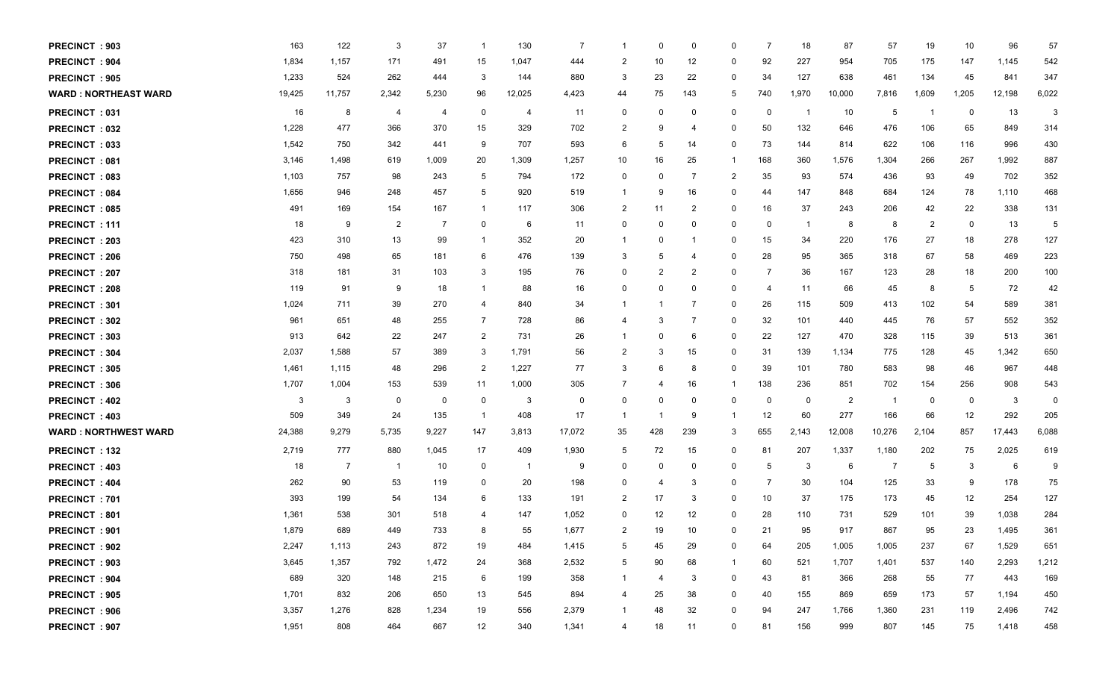| <b>PRECINCT: 903</b>        | 163    | 122    | 3     | 37    | -1             | 130            | 7      | -1             | 0        | - 0            | 0              | -7             | 18             | 87             | 57             | 19    | 10       | 96     | 57    |
|-----------------------------|--------|--------|-------|-------|----------------|----------------|--------|----------------|----------|----------------|----------------|----------------|----------------|----------------|----------------|-------|----------|--------|-------|
| <b>PRECINCT: 904</b>        | 1,834  | 1,157  | 171   | 491   | 15             | 1,047          | 444    | $\overline{2}$ | 10       | 12             | 0              | 92             | 227            | 954            | 705            | 175   | 147      | 1,145  | 542   |
| <b>PRECINCT: 905</b>        | 1,233  | 524    | 262   | 444   | 3              | 144            | 880    | 3              | 23       | 22             | 0              | 34             | 127            | 638            | 461            | 134   | 45       | 841    | 347   |
| <b>WARD: NORTHEAST WARD</b> | 19,425 | 11,757 | 2,342 | 5,230 | 96             | 12,025         | 4,423  | 44             | 75       | 143            | 5              | 740            | 1,970          | 10,000         | 7,816          | 1,609 | 1,205    | 12,198 | 6,022 |
| PRECINCT: 031               | 16     | 8      | 4     | -4    | 0              | 4              | 11     | 0              | 0        | 0              | 0              | 0              | -1             | 10             | 5              | -1    | $\Omega$ | 13     | 3     |
| <b>PRECINCT: 032</b>        | 1,228  | 477    | 366   | 370   | 15             | 329            | 702    | $\overline{2}$ | 9        | $\overline{4}$ | 0              | 50             | 132            | 646            | 476            | 106   | 65       | 849    | 314   |
| <b>PRECINCT: 033</b>        | 1,542  | 750    | 342   | 441   | 9              | 707            | 593    | 6              | 5        | 14             | 0              | 73             | 144            | 814            | 622            | 106   | 116      | 996    | 430   |
| <b>PRECINCT: 081</b>        | 3,146  | 1,498  | 619   | 1,009 | 20             | 1,309          | 1,257  | 10             | 16       | 25             | -1             | 168            | 360            | 1,576          | 1,304          | 266   | 267      | 1,992  | 887   |
| <b>PRECINCT: 083</b>        | 1,103  | 757    | 98    | 243   | 5              | 794            | 172    | 0              | $\Omega$ |                | $\overline{2}$ | 35             | 93             | 574            | 436            | 93    | 49       | 702    | 352   |
| <b>PRECINCT: 084</b>        | 1,656  | 946    | 248   | 457   | 5              | 920            | 519    | $\mathbf 1$    | 9        | 16             | 0              | 44             | 147            | 848            | 684            | 124   | 78       | 1,110  | 468   |
| <b>PRECINCT: 085</b>        | 491    | 169    | 154   | 167   | $\overline{1}$ | 117            | 306    | 2              | 11       | 2              | 0              | 16             | 37             | 243            | 206            | 42    | 22       | 338    | 131   |
| <b>PRECINCT: 111</b>        | 18     | 9      | 2     | -7    | 0              | 6              | 11     | 0              | 0        | 0              | 0              | 0              | $\overline{1}$ | 8              | 8              | 2     | 0        | 13     | 5     |
| <b>PRECINCT: 203</b>        | 423    | 310    | 13    | 99    | $\mathbf{1}$   | 352            | 20     | -1             | 0        |                | - 0            | 15             | 34             | 220            | 176            | 27    | 18       | 278    | 127   |
| <b>PRECINCT: 206</b>        | 750    | 498    | 65    | 181   | 6              | 476            | 139    | -3             | 5        | 4              | - 0            | 28             | 95             | 365            | 318            | 67    | 58       | 469    | 223   |
| <b>PRECINCT: 207</b>        | 318    | 181    | 31    | 103   | 3              | 195            | 76     | 0              | 2        | $\overline{2}$ | 0              | 7              | 36             | 167            | 123            | 28    | 18       | 200    | 100   |
| <b>PRECINCT: 208</b>        | 119    | 91     | 9     | 18    | $\overline{1}$ | 88             | 16     | 0              | 0        | 0              | 0              | $\overline{4}$ | 11             | 66             | 45             | 8     | 5        | 72     | 42    |
| <b>PRECINCT: 301</b>        | 1,024  | 711    | 39    | 270   | 4              | 840            | 34     | -1             |          | -7             | $\mathbf{0}$   | 26             | 115            | 509            | 413            | 102   | 54       | 589    | 381   |
| <b>PRECINCT: 302</b>        | 961    | 651    | 48    | 255   | $\overline{7}$ | 728            | 86     | 4              | 3        | -7             | - 0            | 32             | 101            | 440            | 445            | 76    | 57       | 552    | 352   |
| PRECINCT: 303               | 913    | 642    | 22    | 247   | $\overline{2}$ | 731            | 26     | -1             | $\Omega$ | 6              | 0              | 22             | 127            | 470            | 328            | 115   | 39       | 513    | 361   |
| <b>PRECINCT: 304</b>        | 2,037  | 1,588  | 57    | 389   | 3              | 1,791          | 56     | 2              | 3        | 15             | 0              | 31             | 139            | 1,134          | 775            | 128   | 45       | 1,342  | 650   |
| <b>PRECINCT: 305</b>        | 1,461  | 1,115  | 48    | 296   | $\overline{2}$ | 1,227          | 77     | -3             | 6        | 8              | 0              | 39             | 101            | 780            | 583            | 98    | 46       | 967    | 448   |
| <b>PRECINCT: 306</b>        | 1,707  | 1,004  | 153   | 539   | 11             | 1,000          | 305    | 7              | 4        | 16             | -1             | 138            | 236            | 851            | 702            | 154   | 256      | 908    | 543   |
| <b>PRECINCT: 402</b>        | -3     | 3      | 0     | 0     | 0              | -3             | 0      | $\mathbf 0$    | 0        | 0              | - 0            | 0              | 0              | $\overline{2}$ | $\overline{1}$ | 0     | 0        | 3      | 0     |
| PRECINCT: 403               | 509    | 349    | 24    | 135   | $\overline{1}$ | 408            | 17     | $\mathbf 1$    | -1       | 9              | -1             | 12             | 60             | 277            | 166            | 66    | 12       | 292    | 205   |
| <b>WARD: NORTHWEST WARD</b> | 24,388 | 9,279  | 5,735 | 9,227 | 147            | 3,813          | 17,072 | 35             | 428      | 239            | 3              | 655            | 2,143          | 12,008         | 10,276         | 2,104 | 857      | 17,443 | 6,088 |
| <b>PRECINCT: 132</b>        | 2,719  | 777    | 880   | 1,045 | 17             | 409            | 1,930  | 5              | 72       | 15             | - 0            | 81             | 207            | 1,337          | 1,180          | 202   | 75       | 2,025  | 619   |
| <b>PRECINCT: 403</b>        | 18     | 7      | -1    | 10    | 0              | $\overline{1}$ | 9      | 0              | 0        | 0              | 0              | 5              | -3             | 6              | 7              | 5     | 3        | 6      | 9     |
| <b>PRECINCT: 404</b>        | 262    | 90     | 53    | 119   | 0              | 20             | 198    | 0              | 4        | -3             | 0              | 7              | 30             | 104            | 125            | 33    | 9        | 178    | 75    |
| PRECINCT: 701               | 393    | 199    | 54    | 134   | 6              | 133            | 191    | 2              | 17       | -3             | 0              | 10             | 37             | 175            | 173            | 45    | 12       | 254    | 127   |
| <b>PRECINCT: 801</b>        | 1,361  | 538    | 301   | 518   | 4              | 147            | 1,052  | 0              | 12       | 12             | 0              | 28             | 110            | 731            | 529            | 101   | 39       | 1,038  | 284   |
| PRECINCT: 901               | 1,879  | 689    | 449   | 733   | 8              | 55             | 1,677  | 2              | 19       | 10             | $\Omega$       | 21             | 95             | 917            | 867            | 95    | 23       | 1,495  | 361   |
| <b>PRECINCT: 902</b>        | 2,247  | 1,113  | 243   | 872   | 19             | 484            | 1,415  | -5             | 45       | 29             | 0              | 64             | 205            | 1,005          | 1,005          | 237   | 67       | 1,529  | 651   |
| <b>PRECINCT: 903</b>        | 3,645  | 1,357  | 792   | 1,472 | 24             | 368            | 2,532  | 5              | 90       | 68             | -1             | 60             | 521            | 1,707          | 1,401          | 537   | 140      | 2,293  | 1,212 |
| <b>PRECINCT: 904</b>        | 689    | 320    | 148   | 215   | 6              | 199            | 358    | $\overline{1}$ | 4        | -3             | 0              | 43             | 81             | 366            | 268            | 55    | 77       | 443    | 169   |
| <b>PRECINCT: 905</b>        | 1,701  | 832    | 206   | 650   | 13             | 545            | 894    | $\overline{4}$ | 25       | 38             | 0              | 40             | 155            | 869            | 659            | 173   | 57       | 1,194  | 450   |
| <b>PRECINCT: 906</b>        | 3,357  | 1,276  | 828   | 1,234 | 19             | 556            | 2,379  | $\overline{1}$ | 48       | 32             | 0              | 94             | 247            | 1,766          | 1,360          | 231   | 119      | 2,496  | 742   |
| <b>PRECINCT: 907</b>        | 1,951  | 808    | 464   | 667   | 12             | 340            | 1,341  | 4              | 18       | 11             | 0              | 81             | 156            | 999            | 807            | 145   | 75       | 1,418  | 458   |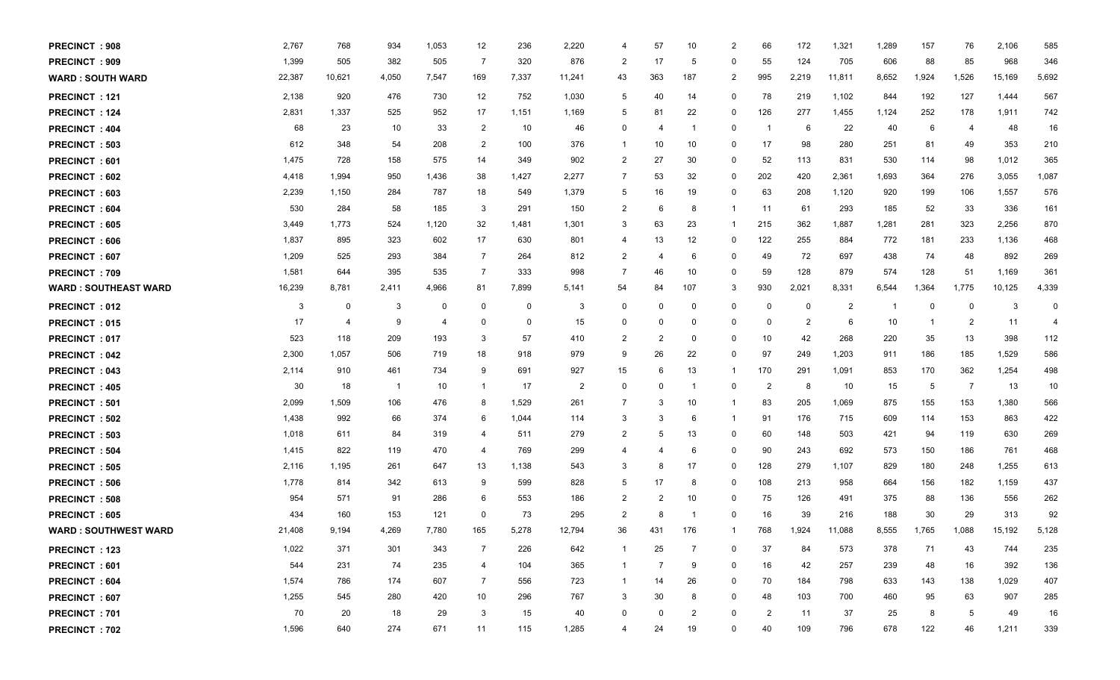| <b>PRECINCT: 908</b>        | 2,767  | 768            | 934          | 1,053 | 12              | 236   | 2,220          | -4             | 57             | 10             | $\overline{2}$ | 66                      | 172            | 1,321          | 1,289 | 157   | 76             | 2,106  | 585         |
|-----------------------------|--------|----------------|--------------|-------|-----------------|-------|----------------|----------------|----------------|----------------|----------------|-------------------------|----------------|----------------|-------|-------|----------------|--------|-------------|
| <b>PRECINCT: 909</b>        | 1,399  | 505            | 382          | 505   | $\overline{7}$  | 320   | 876            | 2              | 17             | -5             | 0              | 55                      | 124            | 705            | 606   | 88    | 85             | 968    | 346         |
| <b>WARD: SOUTH WARD</b>     | 22,387 | 10,621         | 4,050        | 7,547 | 169             | 7,337 | 11,241         | 43             | 363            | 187            | $\overline{2}$ | 995                     | 2,219          | 11,811         | 8,652 | 1,924 | 1,526          | 15,169 | 5,692       |
| PRECINCT: 121               | 2,138  | 920            | 476          | 730   | 12              | 752   | 1,030          | -5             | 40             | 14             | 0              | 78                      | 219            | 1,102          | 844   | 192   | 127            | 1,444  | 567         |
| <b>PRECINCT: 124</b>        | 2,831  | 1,337          | 525          | 952   | 17              | 1,151 | 1,169          | 5              | 81             | 22             | 0              | 126                     | 277            | 1,455          | 1,124 | 252   | 178            | 1,911  | 742         |
| <b>PRECINCT: 404</b>        | 68     | 23             | 10           | 33    | $\overline{2}$  | 10    | 46             | 0              | 4              | -1             | 0              | $\overline{\mathbf{1}}$ | -6             | 22             | 40    | 6     | 4              | 48     | 16          |
| <b>PRECINCT: 503</b>        | 612    | 348            | 54           | 208   | 2               | 100   | 376            | $\overline{1}$ | 10             | 10             | 0              | 17                      | 98             | 280            | 251   | 81    | 49             | 353    | 210         |
| <b>PRECINCT: 601</b>        | 1,475  | 728            | 158          | 575   | 14              | 349   | 902            | $\overline{2}$ | 27             | 30             | 0              | 52                      | 113            | 831            | 530   | 114   | 98             | 1,012  | 365         |
| <b>PRECINCT: 602</b>        | 4,418  | 1,994          | 950          | 1,436 | 38              | 1,427 | 2,277          | $\overline{7}$ | 53             | 32             | 0              | 202                     | 420            | 2,361          | 1,693 | 364   | 276            | 3,055  | 1,087       |
| <b>PRECINCT: 603</b>        | 2,239  | 1,150          | 284          | 787   | 18              | 549   | 1,379          | 5              | 16             | 19             | 0              | 63                      | 208            | 1,120          | 920   | 199   | 106            | 1,557  | 576         |
| <b>PRECINCT: 604</b>        | 530    | 284            | 58           | 185   | 3               | 291   | 150            | $\overline{2}$ | 6              | -8             | -1             | 11                      | 61             | 293            | 185   | 52    | 33             | 336    | 161         |
| <b>PRECINCT: 605</b>        | 3,449  | 1,773          | 524          | 1,120 | 32              | 1,481 | 1,301          | -3             | 63             | 23             | -1             | 215                     | 362            | 1,887          | 1,281 | 281   | 323            | 2,256  | 870         |
| <b>PRECINCT: 606</b>        | 1,837  | 895            | 323          | 602   | 17              | 630   | 801            | 4              | 13             | 12             | 0              | 122                     | 255            | 884            | 772   | 181   | 233            | 1,136  | 468         |
| <b>PRECINCT: 607</b>        | 1,209  | 525            | 293          | 384   | $\overline{7}$  | 264   | 812            | $\overline{2}$ | 4              | 6              | 0              | 49                      | 72             | 697            | 438   | 74    | 48             | 892    | 269         |
| <b>PRECINCT: 709</b>        | 1,581  | 644            | 395          | 535   | $\overline{7}$  | 333   | 998            | -7             | 46             | 10             | 0              | 59                      | 128            | 879            | 574   | 128   | 51             | 1,169  | 361         |
| <b>WARD: SOUTHEAST WARD</b> | 16,239 | 8,781          | 2,411        | 4,966 | 81              | 7,899 | 5,141          | 54             | 84             | 107            | 3              | 930                     | 2,021          | 8,331          | 6,544 | 1,364 | 1,775          | 10,125 | 4,339       |
| <b>PRECINCT: 012</b>        | 3      | 0              | 3            | 0     | 0               | 0     | 3              | 0              | 0              | 0              | 0              | 0                       | $\Omega$       | $\overline{2}$ | -1    | 0     | $\Omega$       | 3      | $\mathbf 0$ |
| <b>PRECINCT: 015</b>        | 17     | $\overline{4}$ | 9            | 4     | 0               | 0     | 15             | 0              | 0              | 0              | 0              | 0                       | $\overline{2}$ | 6              | 10    | -1    | $\overline{2}$ | 11     | 4           |
| <b>PRECINCT: 017</b>        | 523    | 118            | 209          | 193   | 3               | 57    | 410            | 2              | $\overline{2}$ | $\Omega$       | 0              | 10                      | 42             | 268            | 220   | 35    | 13             | 398    | 112         |
| <b>PRECINCT: 042</b>        | 2,300  | 1,057          | 506          | 719   | 18              | 918   | 979            | 9              | 26             | 22             | 0              | 97                      | 249            | 1,203          | 911   | 186   | 185            | 1,529  | 586         |
| <b>PRECINCT: 043</b>        | 2,114  | 910            | 461          | 734   | 9               | 691   | 927            | 15             | 6              | 13             | -1             | 170                     | 291            | 1,091          | 853   | 170   | 362            | 1,254  | 498         |
| <b>PRECINCT: 405</b>        | 30     | 18             | $\mathbf{1}$ | 10    | $\mathbf{1}$    | 17    | $\overline{2}$ | $\overline{0}$ | 0              | - 1            | 0              | $\overline{2}$          | -8             | 10             | 15    | 5     | 7              | 13     | 10          |
| <b>PRECINCT: 501</b>        | 2,099  | 1,509          | 106          | 476   | 8               | 1,529 | 261            | 7              | 3              | 10             | -1             | 83                      | 205            | 1,069          | 875   | 155   | 153            | 1,380  | 566         |
| <b>PRECINCT: 502</b>        | 1,438  | 992            | 66           | 374   | 6               | 1,044 | 114            | -3             | -3             | 6              | -1             | 91                      | 176            | 715            | 609   | 114   | 153            | 863    | 422         |
| <b>PRECINCT: 503</b>        | 1,018  | 611            | 84           | 319   | 4               | 511   | 279            | -2             | 5              | 13             | 0              | 60                      | 148            | 503            | 421   | 94    | 119            | 630    | 269         |
| <b>PRECINCT: 504</b>        | 1,415  | 822            | 119          | 470   | 4               | 769   | 299            | -4             |                | 6              | - 0            | 90                      | 243            | 692            | 573   | 150   | 186            | 761    | 468         |
| <b>PRECINCT: 505</b>        | 2,116  | 1,195          | 261          | 647   | 13              | 1,138 | 543            | -3             | 8              | 17             | 0              | 128                     | 279            | 1,107          | 829   | 180   | 248            | 1,255  | 613         |
| <b>PRECINCT: 506</b>        | 1,778  | 814            | 342          | 613   | 9               | 599   | 828            | 5              | 17             | 8              | 0              | 108                     | 213            | 958            | 664   | 156   | 182            | 1,159  | 437         |
| <b>PRECINCT: 508</b>        | 954    | 571            | 91           | 286   | 6               | 553   | 186            | 2              | 2              | 10             | $\mathbf{0}$   | 75                      | 126            | 491            | 375   | 88    | 136            | 556    | 262         |
| <b>PRECINCT: 605</b>        | 434    | 160            | 153          | 121   | 0               | 73    | 295            | -2             | 8              | - 1            | 0              | 16                      | 39             | 216            | 188   | 30    | 29             | 313    | 92          |
| <b>WARD: SOUTHWEST WARD</b> | 21,408 | 9,194          | 4,269        | 7,780 | 165             | 5,278 | 12,794         | 36             | 431            | 176            | $\mathbf{1}$   | 768                     | 1,924          | 11,088         | 8,555 | 1,765 | 1,088          | 15,192 | 5,128       |
| <b>PRECINCT: 123</b>        | 1,022  | 371            | 301          | 343   | $\overline{7}$  | 226   | 642            | $\overline{1}$ | 25             | 7              | 0              | 37                      | 84             | 573            | 378   | 71    | 43             | 744    | 235         |
| PRECINCT: 601               | 544    | 231            | 74           | 235   | 4               | 104   | 365            | $\overline{1}$ | 7              | 9              | 0              | 16                      | 42             | 257            | 239   | 48    | 16             | 392    | 136         |
| PRECINCT: 604               | 1,574  | 786            | 174          | 607   | $\overline{7}$  | 556   | 723            | $\overline{1}$ | 14             | 26             | 0              | 70                      | 184            | 798            | 633   | 143   | 138            | 1,029  | 407         |
| PRECINCT: 607               | 1,255  | 545            | 280          | 420   | 10 <sup>°</sup> | 296   | 767            | 3              | 30             | 8              | 0              | 48                      | 103            | 700            | 460   | 95    | 63             | 907    | 285         |
| PRECINCT: 701               | 70     | 20             | 18           | 29    | 3               | 15    | 40             | 0              | 0              | $\overline{2}$ | 0              | $\overline{c}$          | 11             | 37             | 25    | 8     | 5              | 49     | 16          |
| <b>PRECINCT: 702</b>        | 1,596  | 640            | 274          | 671   | 11              | 115   | 1,285          | 4              | 24             | 19             | 0              | 40                      | 109            | 796            | 678   | 122   | 46             | 1,211  | 339         |